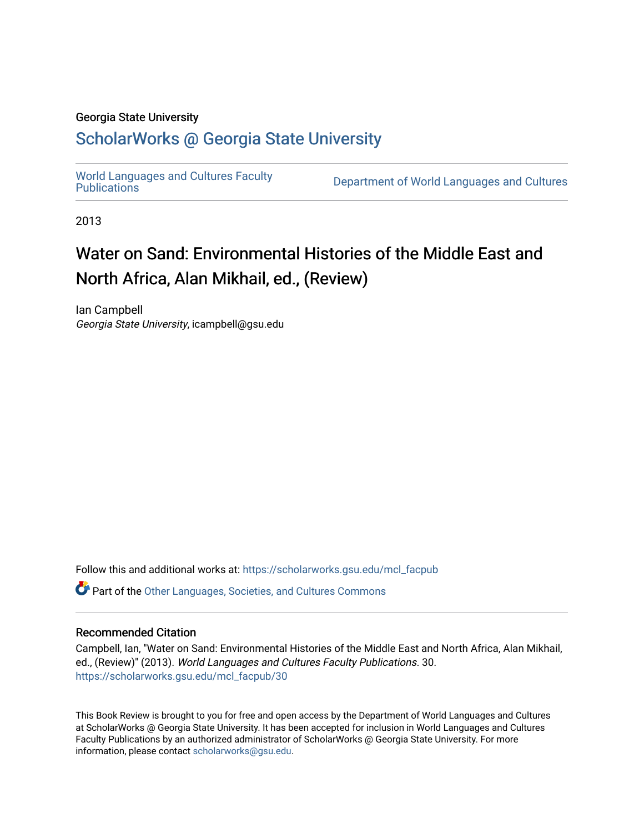### Georgia State University

## [ScholarWorks @ Georgia State University](https://scholarworks.gsu.edu/)

[World Languages and Cultures Faculty](https://scholarworks.gsu.edu/mcl_facpub)<br>Publications

Department of World Languages and Cultures

2013

# Water on Sand: Environmental Histories of the Middle East and North Africa, Alan Mikhail, ed., (Review)

Ian Campbell Georgia State University, icampbell@gsu.edu

Follow this and additional works at: [https://scholarworks.gsu.edu/mcl\\_facpub](https://scholarworks.gsu.edu/mcl_facpub?utm_source=scholarworks.gsu.edu%2Fmcl_facpub%2F30&utm_medium=PDF&utm_campaign=PDFCoverPages) 

**C** Part of the [Other Languages, Societies, and Cultures Commons](http://network.bepress.com/hgg/discipline/475?utm_source=scholarworks.gsu.edu%2Fmcl_facpub%2F30&utm_medium=PDF&utm_campaign=PDFCoverPages)

### Recommended Citation

Campbell, Ian, "Water on Sand: Environmental Histories of the Middle East and North Africa, Alan Mikhail, ed., (Review)" (2013). World Languages and Cultures Faculty Publications. 30. [https://scholarworks.gsu.edu/mcl\\_facpub/30](https://scholarworks.gsu.edu/mcl_facpub/30?utm_source=scholarworks.gsu.edu%2Fmcl_facpub%2F30&utm_medium=PDF&utm_campaign=PDFCoverPages)

This Book Review is brought to you for free and open access by the Department of World Languages and Cultures at ScholarWorks @ Georgia State University. It has been accepted for inclusion in World Languages and Cultures Faculty Publications by an authorized administrator of ScholarWorks @ Georgia State University. For more information, please contact [scholarworks@gsu.edu](mailto:scholarworks@gsu.edu).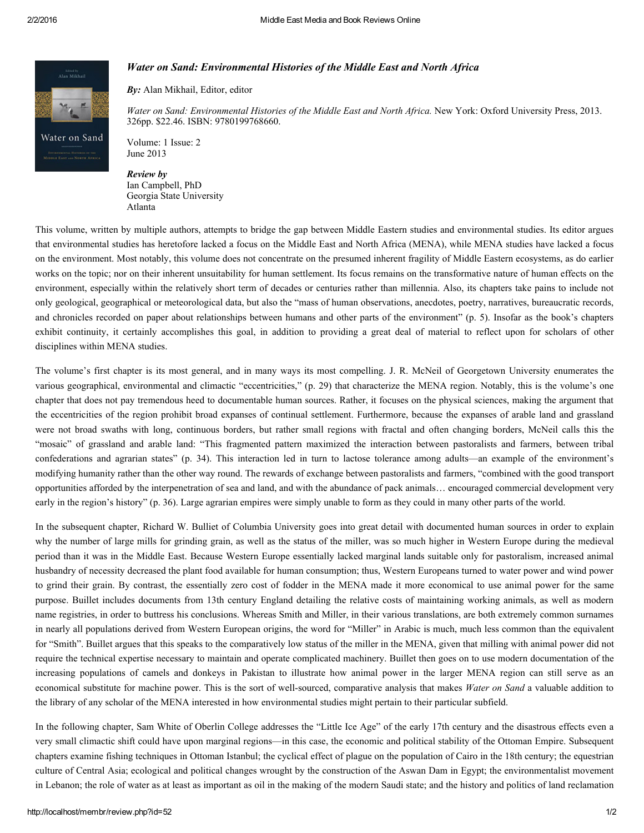

#### Water on Sand: Environmental Histories of the Middle East and North Africa

By: Alan Mikhail, Editor, editor

Water on Sand: Environmental Histories of the Middle East and North Africa. New York: Oxford University Press, 2013. 326pp. \$22.46. ISBN: 9780199768660.

Volume: 1 Issue: 2 June 2013

Review by Ian Campbell, PhD Georgia State University Atlanta

This volume, written by multiple authors, attempts to bridge the gap between Middle Eastern studies and environmental studies. Its editor argues that environmental studies has heretofore lacked a focus on the Middle East and North Africa (MENA), while MENA studies have lacked a focus on the environment. Most notably, this volume does not concentrate on the presumed inherent fragility of Middle Eastern ecosystems, as do earlier works on the topic; nor on their inherent unsuitability for human settlement. Its focus remains on the transformative nature of human effects on the environment, especially within the relatively short term of decades or centuries rather than millennia. Also, its chapters take pains to include not only geological, geographical or meteorological data, but also the "mass of human observations, anecdotes, poetry, narratives, bureaucratic records, and chronicles recorded on paper about relationships between humans and other parts of the environment" (p. 5). Insofar as the book's chapters exhibit continuity, it certainly accomplishes this goal, in addition to providing a great deal of material to reflect upon for scholars of other disciplines within MENA studies.

The volume's first chapter is its most general, and in many ways its most compelling. J. R. McNeil of Georgetown University enumerates the various geographical, environmental and climactic "eccentricities," (p. 29) that characterize the MENA region. Notably, this is the volume's one chapter that does not pay tremendous heed to documentable human sources. Rather, it focuses on the physical sciences, making the argument that the eccentricities of the region prohibit broad expanses of continual settlement. Furthermore, because the expanses of arable land and grassland were not broad swaths with long, continuous borders, but rather small regions with fractal and often changing borders, McNeil calls this the "mosaic" of grassland and arable land: "This fragmented pattern maximized the interaction between pastoralists and farmers, between tribal confederations and agrarian states" (p. 34). This interaction led in turn to lactose tolerance among adults—an example of the environment's modifying humanity rather than the other way round. The rewards of exchange between pastoralists and farmers, "combined with the good transport opportunities afforded by the interpenetration of sea and land, and with the abundance of pack animals… encouraged commercial development very early in the region's history" (p. 36). Large agrarian empires were simply unable to form as they could in many other parts of the world.

In the subsequent chapter, Richard W. Bulliet of Columbia University goes into great detail with documented human sources in order to explain why the number of large mills for grinding grain, as well as the status of the miller, was so much higher in Western Europe during the medieval period than it was in the Middle East. Because Western Europe essentially lacked marginal lands suitable only for pastoralism, increased animal husbandry of necessity decreased the plant food available for human consumption; thus, Western Europeans turned to water power and wind power to grind their grain. By contrast, the essentially zero cost of fodder in the MENA made it more economical to use animal power for the same purpose. Buillet includes documents from 13th century England detailing the relative costs of maintaining working animals, as well as modern name registries, in order to buttress his conclusions. Whereas Smith and Miller, in their various translations, are both extremely common surnames in nearly all populations derived from Western European origins, the word for "Miller" in Arabic is much, much less common than the equivalent for "Smith". Buillet argues that this speaks to the comparatively low status of the miller in the MENA, given that milling with animal power did not require the technical expertise necessary to maintain and operate complicated machinery. Buillet then goes on to use modern documentation of the increasing populations of camels and donkeys in Pakistan to illustrate how animal power in the larger MENA region can still serve as an economical substitute for machine power. This is the sort of well-sourced, comparative analysis that makes Water on Sand a valuable addition to the library of any scholar of the MENA interested in how environmental studies might pertain to their particular subfield.

In the following chapter, Sam White of Oberlin College addresses the "Little Ice Age" of the early 17th century and the disastrous effects even a very small climactic shift could have upon marginal regions—in this case, the economic and political stability of the Ottoman Empire. Subsequent chapters examine fishing techniques in Ottoman Istanbul; the cyclical effect of plague on the population of Cairo in the 18th century; the equestrian culture of Central Asia; ecological and political changes wrought by the construction of the Aswan Dam in Egypt; the environmentalist movement in Lebanon; the role of water as at least as important as oil in the making of the modern Saudi state; and the history and politics of land reclamation